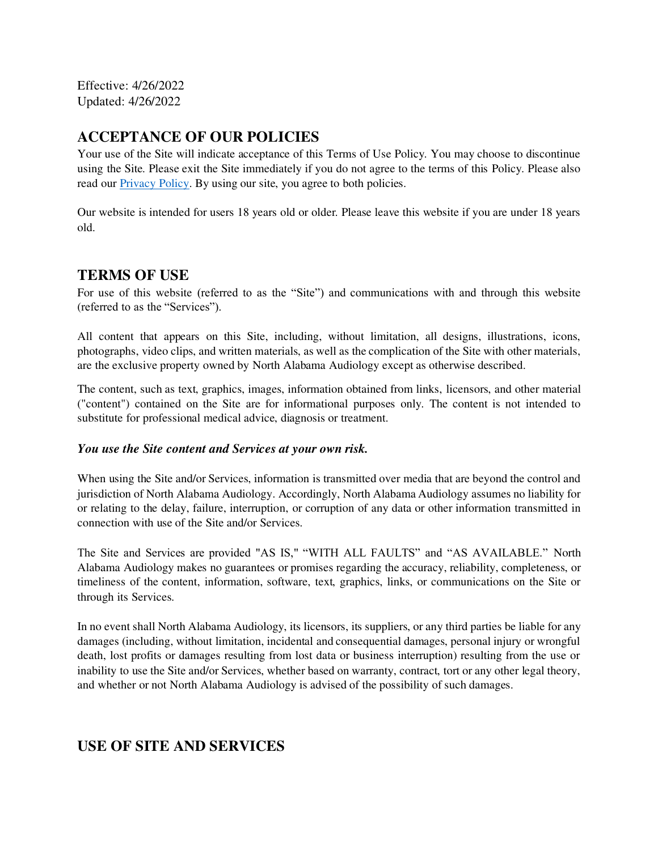Effective: 4/26/2022 Updated: 4/26/2022

# **ACCEPTANCE OF OUR POLICIES**

Your use of the Site will indicate acceptance of this Terms of Use Policy. You may choose to discontinue using the Site. Please exit the Site immediately if you do not agree to the terms of this Policy. Please also read our [Privacy Policy.](https://www.alabamaaudiology.com/privacy_policy) By using our site, you agree to both policies.

Our website is intended for users 18 years old or older. Please leave this website if you are under 18 years old.

## **TERMS OF USE**

For use of this website (referred to as the "Site") and communications with and through this website (referred to as the "Services").

All content that appears on this Site, including, without limitation, all designs, illustrations, icons, photographs, video clips, and written materials, as well as the complication of the Site with other materials, are the exclusive property owned by North Alabama Audiology except as otherwise described.

The content, such as text, graphics, images, information obtained from links, licensors, and other material ("content") contained on the Site are for informational purposes only. The content is not intended to substitute for professional medical advice, diagnosis or treatment.

#### *You use the Site content and Services at your own risk.*

When using the Site and/or Services, information is transmitted over media that are beyond the control and jurisdiction of North Alabama Audiology. Accordingly, North Alabama Audiology assumes no liability for or relating to the delay, failure, interruption, or corruption of any data or other information transmitted in connection with use of the Site and/or Services.

The Site and Services are provided "AS IS," "WITH ALL FAULTS" and "AS AVAILABLE." North Alabama Audiology makes no guarantees or promises regarding the accuracy, reliability, completeness, or timeliness of the content, information, software, text, graphics, links, or communications on the Site or through its Services.

In no event shall North Alabama Audiology, its licensors, its suppliers, or any third parties be liable for any damages (including, without limitation, incidental and consequential damages, personal injury or wrongful death, lost profits or damages resulting from lost data or business interruption) resulting from the use or inability to use the Site and/or Services, whether based on warranty, contract, tort or any other legal theory, and whether or not North Alabama Audiology is advised of the possibility of such damages.

# **USE OF SITE AND SERVICES**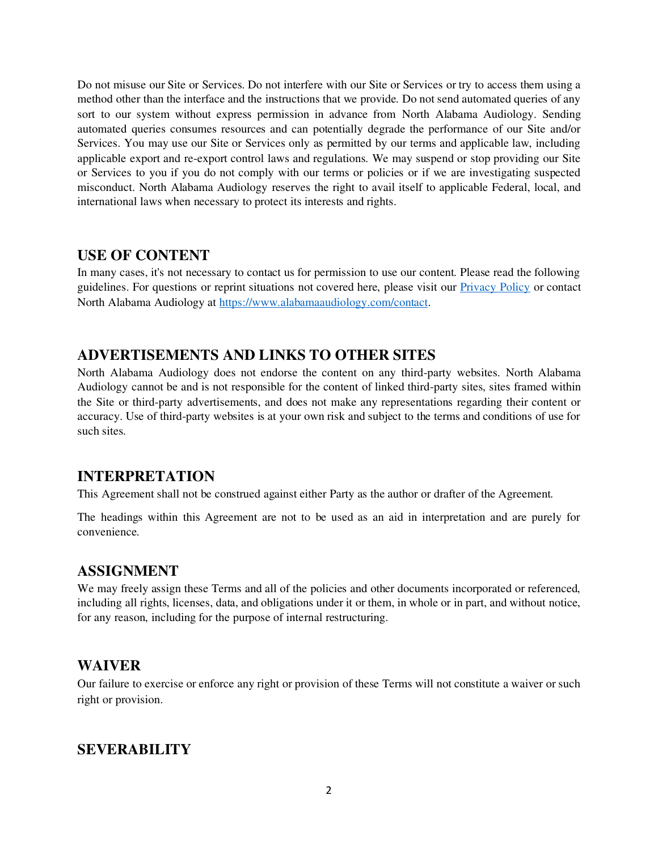Do not misuse our Site or Services. Do not interfere with our Site or Services or try to access them using a method other than the interface and the instructions that we provide. Do not send automated queries of any sort to our system without express permission in advance from North Alabama Audiology. Sending automated queries consumes resources and can potentially degrade the performance of our Site and/or Services. You may use our Site or Services only as permitted by our terms and applicable law, including applicable export and re-export control laws and regulations. We may suspend or stop providing our Site or Services to you if you do not comply with our terms or policies or if we are investigating suspected misconduct. North Alabama Audiology reserves the right to avail itself to applicable Federal, local, and international laws when necessary to protect its interests and rights.

## **USE OF CONTENT**

In many cases, it's not necessary to contact us for permission to use our content. Please read the following guidelines. For questions or reprint situations not covered here, please visit our **Privacy Policy** or contact North Alabama Audiology a[t https://www.alabamaaudiology.com/contact.](https://www.alabamaaudiology.com/contact)

## **ADVERTISEMENTS AND LINKS TO OTHER SITES**

North Alabama Audiology does not endorse the content on any third-party websites. North Alabama Audiology cannot be and is not responsible for the content of linked third-party sites, sites framed within the Site or third-party advertisements, and does not make any representations regarding their content or accuracy. Use of third-party websites is at your own risk and subject to the terms and conditions of use for such sites.

# **INTERPRETATION**

This Agreement shall not be construed against either Party as the author or drafter of the Agreement.

The headings within this Agreement are not to be used as an aid in interpretation and are purely for convenience.

# **ASSIGNMENT**

We may freely assign these Terms and all of the policies and other documents incorporated or referenced, including all rights, licenses, data, and obligations under it or them, in whole or in part, and without notice, for any reason, including for the purpose of internal restructuring.

## **WAIVER**

Our failure to exercise or enforce any right or provision of these Terms will not constitute a waiver or such right or provision.

## **SEVERABILITY**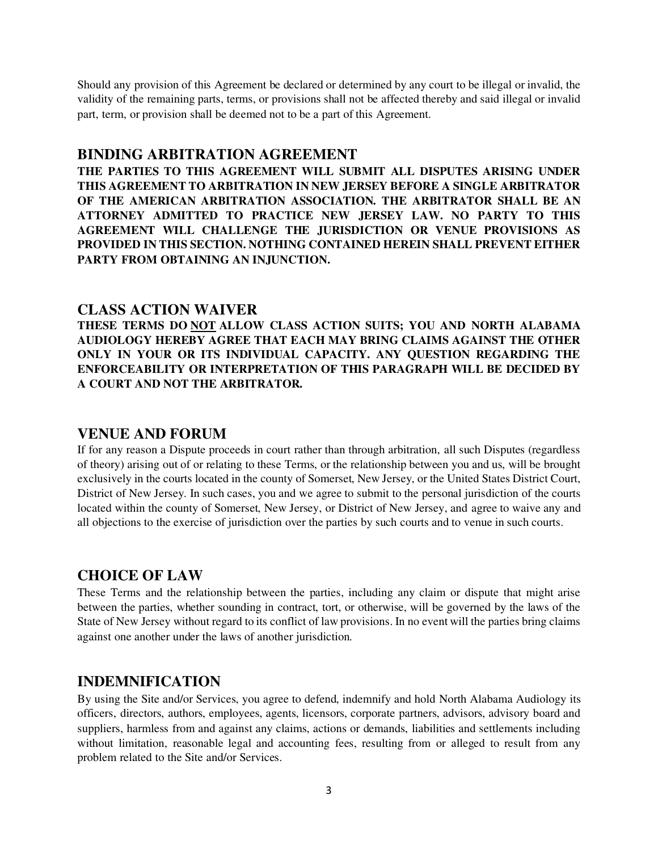Should any provision of this Agreement be declared or determined by any court to be illegal or invalid, the validity of the remaining parts, terms, or provisions shall not be affected thereby and said illegal or invalid part, term, or provision shall be deemed not to be a part of this Agreement.

#### **BINDING ARBITRATION AGREEMENT**

**THE PARTIES TO THIS AGREEMENT WILL SUBMIT ALL DISPUTES ARISING UNDER THIS AGREEMENT TO ARBITRATION IN NEW JERSEY BEFORE A SINGLE ARBITRATOR OF THE AMERICAN ARBITRATION ASSOCIATION. THE ARBITRATOR SHALL BE AN ATTORNEY ADMITTED TO PRACTICE NEW JERSEY LAW. NO PARTY TO THIS AGREEMENT WILL CHALLENGE THE JURISDICTION OR VENUE PROVISIONS AS PROVIDED IN THIS SECTION. NOTHING CONTAINED HEREIN SHALL PREVENT EITHER PARTY FROM OBTAINING AN INJUNCTION.** 

#### **CLASS ACTION WAIVER**

**THESE TERMS DO NOT ALLOW CLASS ACTION SUITS; YOU AND NORTH ALABAMA AUDIOLOGY HEREBY AGREE THAT EACH MAY BRING CLAIMS AGAINST THE OTHER ONLY IN YOUR OR ITS INDIVIDUAL CAPACITY. ANY QUESTION REGARDING THE ENFORCEABILITY OR INTERPRETATION OF THIS PARAGRAPH WILL BE DECIDED BY A COURT AND NOT THE ARBITRATOR.** 

## **VENUE AND FORUM**

If for any reason a Dispute proceeds in court rather than through arbitration, all such Disputes (regardless of theory) arising out of or relating to these Terms, or the relationship between you and us, will be brought exclusively in the courts located in the county of Somerset, New Jersey, or the United States District Court, District of New Jersey. In such cases, you and we agree to submit to the personal jurisdiction of the courts located within the county of Somerset, New Jersey, or District of New Jersey, and agree to waive any and all objections to the exercise of jurisdiction over the parties by such courts and to venue in such courts.

## **CHOICE OF LAW**

These Terms and the relationship between the parties, including any claim or dispute that might arise between the parties, whether sounding in contract, tort, or otherwise, will be governed by the laws of the State of New Jersey without regard to its conflict of law provisions. In no event will the parties bring claims against one another under the laws of another jurisdiction.

## **INDEMNIFICATION**

By using the Site and/or Services, you agree to defend, indemnify and hold North Alabama Audiology its officers, directors, authors, employees, agents, licensors, corporate partners, advisors, advisory board and suppliers, harmless from and against any claims, actions or demands, liabilities and settlements including without limitation, reasonable legal and accounting fees, resulting from or alleged to result from any problem related to the Site and/or Services.